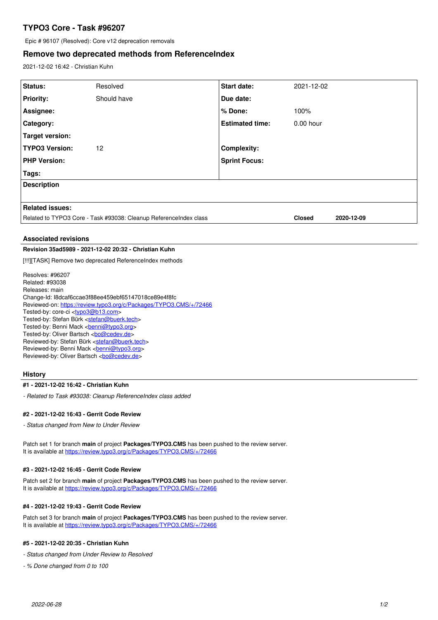# **TYPO3 Core - Task #96207**

Epic # 96107 (Resolved): Core v12 deprecation removals

## **Remove two deprecated methods from ReferenceIndex**

2021-12-02 16:42 - Christian Kuhn

| Status:                                                           | Resolved    | <b>Start date:</b>     | 2021-12-02    |            |
|-------------------------------------------------------------------|-------------|------------------------|---------------|------------|
| <b>Priority:</b>                                                  | Should have | Due date:              |               |            |
| Assignee:                                                         |             | % Done:                | 100%          |            |
| Category:                                                         |             | <b>Estimated time:</b> | $0.00$ hour   |            |
| Target version:                                                   |             |                        |               |            |
| <b>TYPO3 Version:</b>                                             | 12          | <b>Complexity:</b>     |               |            |
| <b>PHP Version:</b>                                               |             | <b>Sprint Focus:</b>   |               |            |
| <b>Tags:</b>                                                      |             |                        |               |            |
| <b>Description</b>                                                |             |                        |               |            |
|                                                                   |             |                        |               |            |
| <b>Related issues:</b>                                            |             |                        |               |            |
| Related to TYPO3 Core - Task #93038: Cleanup ReferenceIndex class |             |                        | <b>Closed</b> | 2020-12-09 |

## **Associated revisions**

## **Revision 35ad5989 - 2021-12-02 20:32 - Christian Kuhn**

[!!!][TASK] Remove two deprecated ReferenceIndex methods

Resolves: #96207 Related: #93038 Releases: main Change-Id: I8dcaf6ccae3f88ee459ebf65147018ce89e4f8fc Reviewed-on:<https://review.typo3.org/c/Packages/TYPO3.CMS/+/72466> Tested-by: core-ci [<typo3@b13.com](mailto:typo3@b13.com)> Tested-by: Stefan Bürk <[stefan@buerk.tech](mailto:stefan@buerk.tech)> Tested-by: Benni Mack <br />
<u>benni@typo3.org</u>> Tested-by: Oliver Bartsch <br/> <br/> <br/> <br/>Condev.de> Reviewed-by: Stefan Bürk <[stefan@buerk.tech>](mailto:stefan@buerk.tech) Reviewed-by: Benni Mack <br /> **[benni@typo3.org>](mailto:benni@typo3.org)** Reviewed-by: Oliver Bartsch <br/> <br/> <br/> <br/> <br/> <br/> <br/> <br/> <br/> <br/> <br/> <br/> <br/> <br/> <br/> <br/><br/> $\label{eq:reduced}$ 

## **History**

#### **#1 - 2021-12-02 16:42 - Christian Kuhn**

*- Related to Task #93038: Cleanup ReferenceIndex class added*

## **#2 - 2021-12-02 16:43 - Gerrit Code Review**

*- Status changed from New to Under Review*

Patch set 1 for branch **main** of project **Packages/TYPO3.CMS** has been pushed to the review server. It is available at <https://review.typo3.org/c/Packages/TYPO3.CMS/+/72466>

### **#3 - 2021-12-02 16:45 - Gerrit Code Review**

Patch set 2 for branch **main** of project **Packages/TYPO3.CMS** has been pushed to the review server. It is available at <https://review.typo3.org/c/Packages/TYPO3.CMS/+/72466>

## **#4 - 2021-12-02 19:43 - Gerrit Code Review**

Patch set 3 for branch **main** of project **Packages/TYPO3.CMS** has been pushed to the review server. It is available at <https://review.typo3.org/c/Packages/TYPO3.CMS/+/72466>

## **#5 - 2021-12-02 20:35 - Christian Kuhn**

*- Status changed from Under Review to Resolved*

*- % Done changed from 0 to 100*